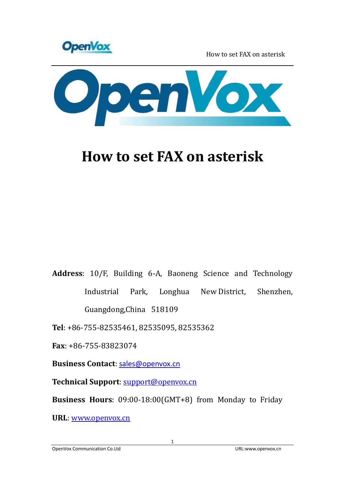



## **How to set FAX on asterisk**

**Address**: 10/F, Building 6-A, Baoneng Science and Technology Industrial Park, Longhua New District, Shenzhen, Guangdong,China 518109

**Tel**: +86-755-82535461, 82535095, 82535362

**Fax**: +86-755-83823074

**Business Contact**: sales@openvox.cn

**Technical Support**: [support@openvox.cn](mailto:support@openvox.cn)

**Business Hours**: 09:00-18:00(GMT+8) from Monday to Friday

**URL**: [www.openvox.cn](http://www.openvox.cn/)

OpenVox Communication Co.Ltd URL:www.openvox.cn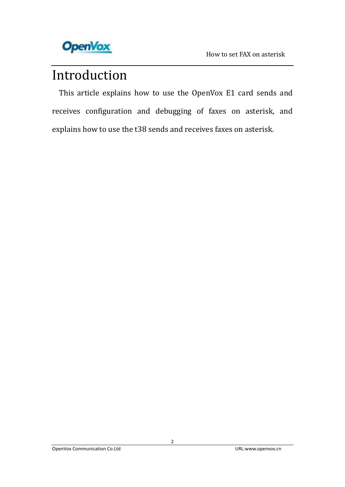

## Introduction

 This article explains how to use the OpenVox E1 card sends and receives configuration and debugging of faxes on asterisk, and explains how to use the t38 sends and receives faxes on asterisk.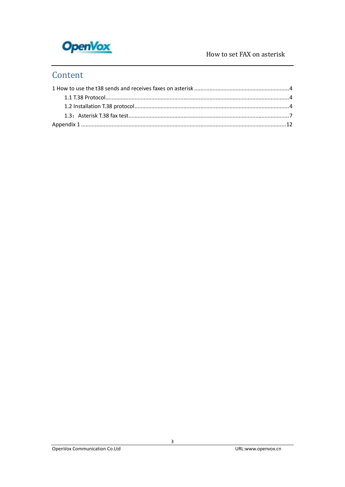

### Content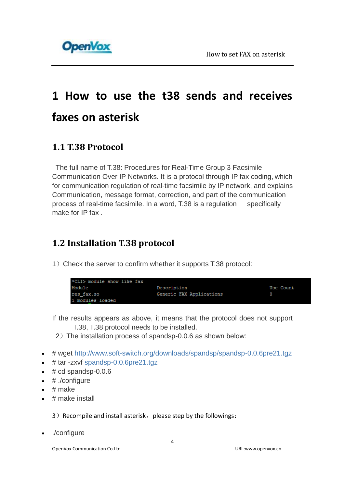

# <span id="page-3-0"></span>**1 How to use the t38 sends and receives faxes on asterisk**

### <span id="page-3-1"></span>**1.1 T.38 Protocol**

The full name of T.38: Procedures for Real-Time Group 3 Facsimile Communication Over IP Networks. It is a protocol through IP fax coding, which for communication regulation of real-time facsimile by IP network, and explains Communication, message format, correction, and part of the communication process of real-time facsimile. In a word, T.38 is a regulation specifically make for IP fax .

### <span id="page-3-2"></span>**1.2 Installation T.38 protocol**

1) Check the server to confirm whether it supports T.38 protocol:

| *CLI> module show like fax |                          |           |
|----------------------------|--------------------------|-----------|
|                            |                          |           |
| Module                     | Description              | Use Count |
| res fax.so                 | Generic FAX Applications |           |
| 1 modules loaded           |                          |           |

- If the results appears as above, it means that the protocol does not support T.38, T.38 protocol needs to be installed.
- 2)The installation process of spandsp-0.0.6 as shown below:
- # wget <http://www.soft-switch.org/downloads/spandsp/spandsp-0.0.6pre21.tgz>
- $\bullet$  # tar -zxvf [spandsp-0.0.6pre21.tgz](http://www.soft-switch.org/downloads/spandsp/spandsp-0.0.6pre21.tgz)
- $\bullet$  # cd spandsp-0.0.6
- $\bullet$  # ./configure
- $\bullet$  # make
- $\cdot$  # make install

3) Recompile and install asterisk, please step by the followings:

./configure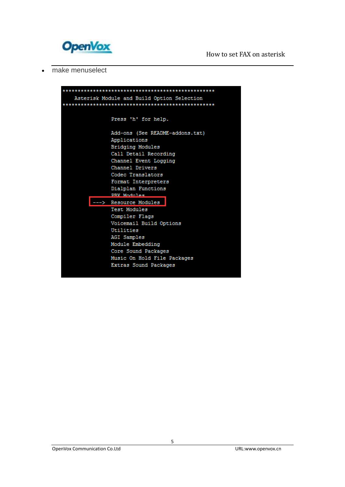

• make menuselect

|  | Asterisk Module and Build Option Selection |
|--|--------------------------------------------|
|  |                                            |
|  |                                            |
|  |                                            |
|  | Press 'h' for help.                        |
|  |                                            |
|  | Add-ons (See README-addons.txt)            |
|  | Applications                               |
|  | <b>Bridging Modules</b>                    |
|  | Call Detail Recording                      |
|  | Channel Event Logging                      |
|  | Channel Drivers                            |
|  | Codec Translators                          |
|  | Format Interpreters                        |
|  | Dialplan Functions                         |
|  | PRY Modules                                |
|  | Resource Modules                           |
|  | Test Modules                               |
|  | Compiler Flags                             |
|  | Voicemail Build Options                    |
|  | Utilities                                  |
|  | AGI Samples                                |
|  | Module Embedding                           |
|  | Core Sound Packages                        |
|  | Music On Hold File Packages                |
|  | Extras Sound Packages                      |
|  |                                            |
|  |                                            |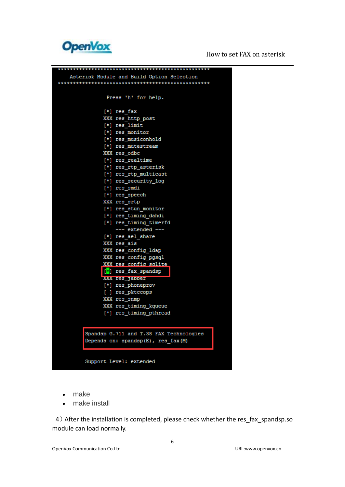

| Asterisk Module and Build Option Selection |
|--------------------------------------------|
|                                            |
|                                            |
| Press 'h' for help.                        |
|                                            |
| [*] res fax                                |
| XXX res_http_post                          |
|                                            |
| [*] res_limit                              |
| [*] res monitor<br>[*] res musiconhold     |
|                                            |
| [*] res mutestream                         |
| XXX res odbc                               |
| [*] res realtime                           |
| [*] res_rtp_asterisk                       |
| [*] res rtp multicast                      |
| [*] res_security log                       |
| [*] res_smdi                               |
| [*] res_speech                             |
| XXX res srtp                               |
| [*] res_stun_monitor                       |
| [*] res timing dahdi                       |
| [*] res timing timerfd                     |
| --- extended ---                           |
| [*] res ael share                          |
| XXX res ais                                |
| XXX res config ldap                        |
| XXX res config pgsql                       |
| XXX res config sqlite                      |
| $\left[\frac{1}{2}\right]$ res fax spandsp |
| XXX res_jancer                             |
| [*] res_phoneprov                          |
| [ ] res_pktccops                           |
| XXX res_snmp                               |
| XXX res_timing_kqueue                      |
| [*] res timing pthread                     |
|                                            |
|                                            |
| Spandsp G.711 and T.38 FAX Technologies    |
| Depends on: spandsp(E), res_fax(M)         |
|                                            |
|                                            |
| Support Level: extended                    |
|                                            |
|                                            |

- make
- make install

4)After the installation is completed, please check whether the res\_fax\_spandsp.so module can load normally.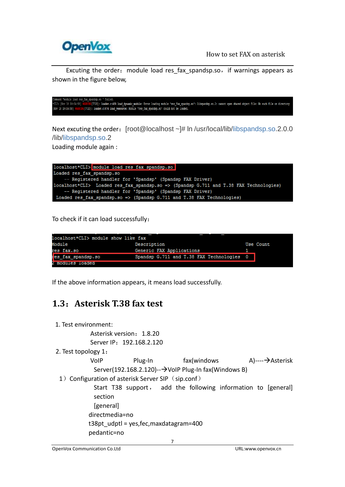

Excuting the order: module load res fax spandsp.so, if warnings appears as shown in the figure below,

```
numanu anounce room res_sa.<br>Julio [Nov 18 19:04:88] <mark>WARNING</mark>[7720]: loader.c:409 load_dynamic_module: Error loading module 'res_fax_spands<br>Ov 18 19:04:58] MARNING[7720]: loader.c:874 load_resource: Module 'res_fax_spandsp
                                           [7720]: loader.c:409 load_dynamic_module: Error loading module 'res_fax_spandsp.so': libspandsp.so.2: cannot open shared object file: No such file or directory
Nov 18 19:04:58] W
```
Next excuting the order: [root@localhost ~]# ln /usr/local/lib[/libspandsp.so.](http://libspandsp.so/)2.0.0 /lib[/libspandsp.so.](http://libspandsp.so/)2

Loading module again :



To check if it can load successfully:

| localhost*CLI> module show like fax |                                           |           |
|-------------------------------------|-------------------------------------------|-----------|
| Module                              | Description                               | Use Count |
| res fax.so                          | Generic FAX Applications                  |           |
| es fax spandsp.so                   | Spandsp G.711 and T.38 FAX Technologies 0 |           |
| 2 modules loaded                    |                                           |           |

<span id="page-6-0"></span>If the above information appears, it means load successfully.

### **1.3**:**Asterisk T.38 fax test**

- 1. Test environment:
	- Asterisk version: 1.8.20 Server IP: 192.168.2.120
- 2. Test topology 1:

VoIP Plug-In fax(windows A)----->Asterisk Server(192.168.2.120)- $\rightarrow$ VoIP Plug-In fax(Windows B)

1) Configuration of asterisk Server SIP (sip.conf)

 Start T38 support, add the following information to [general] section [general] directmedia=no t38pt  $udpt$  = yes, fec, maxdatagram=400 pedantic=no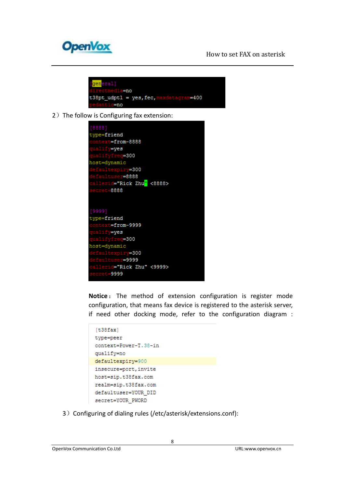

```
eral]
           =no
      udpt1 = yes, fec, 1datagram=400
t38pt
       i c=no
```
2) The follow is Configuring fax extension:



Notice: The method of extension configuration is register mode configuration, that means fax device is registered to the asterisk server, if need other docking mode, refer to the configuration diagram :

| [t38fax]              |
|-----------------------|
| type=peer             |
| context=Power-T.38-in |
| qualify=no            |
| defaultexpiry=900     |
| insecure=port, invite |
| host=sip.t38fax.com   |
| realm=sip.t38fax.com  |
| defaultuser=YOUR DID  |
| secret=YOUR PWORD     |

3) Configuring of dialing rules (/etc/asterisk/extensions.conf):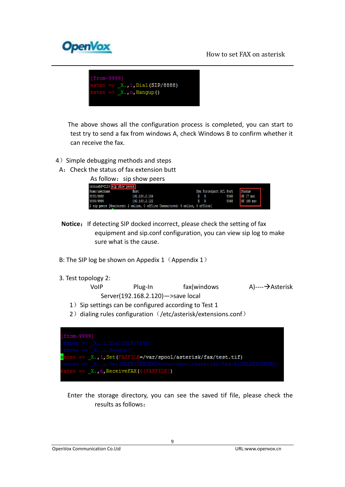



 The above shows all the configuration process is completed, you can start to test try to send a fax from windows A, check Windows B to confirm whether it can receive the fax.

- 4) Simple debugging methods and steps
- A:Check the status of fax extension butt

|  | As follow: sip show peers |
|--|---------------------------|
|--|---------------------------|

|               | centos58*CLI> sip show peers                                                  |    |              |                         |               |  |
|---------------|-------------------------------------------------------------------------------|----|--------------|-------------------------|---------------|--|
| Name/username | Host                                                                          |    |              | Dyn Forcerport ACL Port | Status        |  |
| 8888/8888     | 192.168.2.104                                                                 | D  | $\mathbf{N}$ | 5060                    | $OK$ $(7$ ms) |  |
| 9999/9999     | 192, 168, 2, 122                                                              | D. |              | 5060                    | OK(80 ms)     |  |
|               | 2 sip peers [Monitored: 2 online, 0 offline Unmonitored: 0 online, 0 offline] |    |              |                         |               |  |

- **Notice:** If detecting SIP docked incorrect, please check the setting of fax equipment and sip.conf configuration, you can view sip log to make sure what is the cause.
- B: The SIP log be shown on Appedix 1 (Appendix 1)
- 3. Test topology 2:

| VoIP | Plug-In                           | fax(windows | A)----→Asterisk |
|------|-----------------------------------|-------------|-----------------|
|      | Server(192.168.2.120)->save local |             |                 |

- 1) Sip settings can be configured according to Test 1
- 2) dialing rules configuration (/etc/asterisk/extensions.conf)



 Enter the storage directory, you can see the saved tif file, please check the results as follows: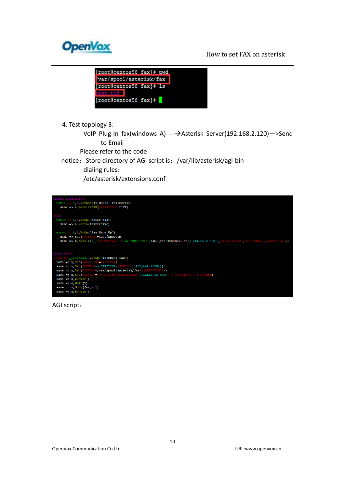



4. Test topology 3:

VoIP Plug-In fax(windows A)----- > Asterisk Server(192.168.2.120)->Send to Email

Please refer to the code.

notice: Store directory of AGI script is: /var/lib/asterisk/agi-bin

dialing rules:

/etc/asterisk/extensions.conf



AGI script: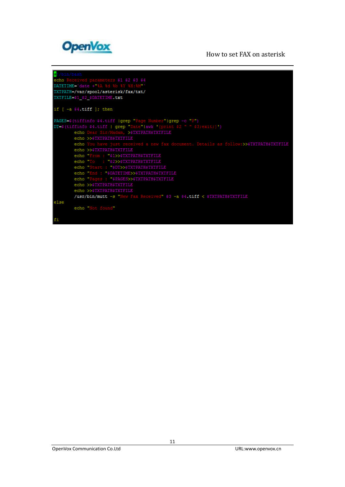

| $+1$ /bin/bash                                                                         |
|----------------------------------------------------------------------------------------|
| echo Received parameters \$1 \$2 \$3 \$4                                               |
| DATETIME='date +"%A %d %b %Y %H:%M"'                                                   |
| TXTPATH=/var/spool/asterisk/fax/txt/                                                   |
| TXTFILE=\$1 \$2 \$DATETIME.txt                                                         |
|                                                                                        |
| if $\lceil -a \rceil$ = 4. tiff $\lceil \cdot \rceil$ then                             |
|                                                                                        |
| PAGES=# (tiffinfo #4.tiff   grep "Page Number"   grep -c "P")                          |
| DT=\$(tiffinfo \$4.tiff   grep "Date" awk '{print \$2 " " \$3;exit;}')                 |
| echo Dear Sir/Madam, >\$TXTPATH\$TXTFILE                                               |
| echo >>\$TXTPATH\$TXTFILE                                                              |
| echo You have just received a new fax document. Details as follow:>>\$TXTPATH\$TXTFILE |
| echo >>\$TXTPATH\$TXTFILE                                                              |
| echo "From : "\$1>>\$TXTPATH\$TXTFILE                                                  |
| echo "To : "\$2>>\$TXTPATH\$TXTFILE                                                    |
| echo "Start : "\$DT>>\$TXTPATH\$TXTFILE                                                |
| echo "End : "\$DATETIME>>\$TXTPATH\$TXTFILE                                            |
| echo "Pages : "\$PAGES>>\$TXTPATH\$TXTFILE                                             |
| echo >>STXTPATHSTXTFILE                                                                |
| echo >>\$TXTPATH\$TXTFILE                                                              |
| /usr/bin/mutt -s "New Fax Received" \$3 -a \$4.tiff < \$TXTPATH\$TXTFILE               |
| else                                                                                   |
| echo "Not found"                                                                       |
|                                                                                        |
| fi                                                                                     |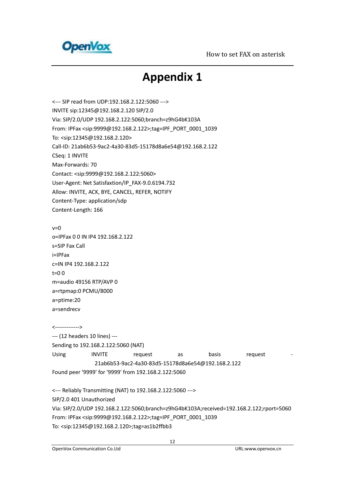<span id="page-11-0"></span>

## **Appendix 1**

<--- SIP read from UDP:192.168.2.122:5060 ---> INVITE sip:12345@192.168.2.120 SIP/2.0 Via: SIP/2.0/UDP 192.168.2.122:5060;branch=z9hG4bK103A From: IPFax <sip:9999@192.168.2.122>;tag=IPF\_PORT\_0001\_1039 To: <sip:12345@192.168.2.120> Call-ID: 21ab6b53-9ac2-4a30-83d5-15178d8a6e54@192.168.2.122 CSeq: 1 INVITE Max-Forwards: 70 Contact: <sip:9999@192.168.2.122:5060> User-Agent: Net Satisfaxtion/IP\_FAX-9.0.6194.732 Allow: INVITE, ACK, BYE, CANCEL, REFER, NOTIFY Content-Type: application/sdp Content-Length: 166

 $v=0$ o=IPFax 0 0 IN IP4 192.168.2.122 s=SIP Fax Call i=IPFax c=IN IP4 192.168.2.122  $t=0.0$ m=audio 49156 RTP/AVP 0 a=rtpmap:0 PCMU/8000 a=ptime:20 a=sendrecv

<-------------> --- (12 headers 10 lines) --- Sending to 192.168.2.122:5060 (NAT) Using INVITE request as basis request -21ab6b53-9ac2-4a30-83d5-15178d8a6e54@192.168.2.122 Found peer '9999' for '9999' from 192.168.2.122:5060

<--- Reliably Transmitting (NAT) to 192.168.2.122:5060 ---> SIP/2.0 401 Unauthorized Via: SIP/2.0/UDP 192.168.2.122:5060;branch=z9hG4bK103A;received=192.168.2.122;rport=5060 From: IPFax <sip:9999@192.168.2.122>;tag=IPF\_PORT\_0001\_1039 To: <sip:12345@192.168.2.120>;tag=as1b2ffbb3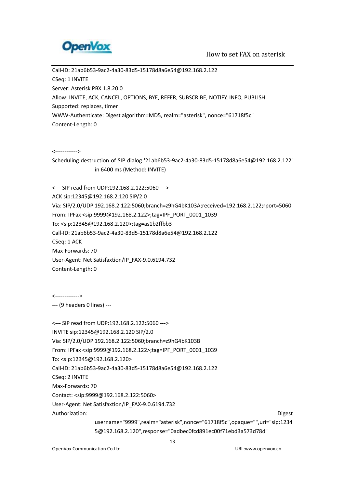

Call-ID: 21ab6b53-9ac2-4a30-83d5-15178d8a6e54@192.168.2.122 CSeq: 1 INVITE Server: Asterisk PBX 1.8.20.0 Allow: INVITE, ACK, CANCEL, OPTIONS, BYE, REFER, SUBSCRIBE, NOTIFY, INFO, PUBLISH Supported: replaces, timer WWW-Authenticate: Digest algorithm=MD5, realm="asterisk", nonce="61718f5c" Content-Length: 0

<------------>

Scheduling destruction of SIP dialog '21ab6b53-9ac2-4a30-83d5-15178d8a6e54@192.168.2.122' in 6400 ms (Method: INVITE)

<--- SIP read from UDP:192.168.2.122:5060 ---> ACK sip:12345@192.168.2.120 SIP/2.0 Via: SIP/2.0/UDP 192.168.2.122:5060;branch=z9hG4bK103A;received=192.168.2.122;rport=5060 From: IPFax <sip:9999@192.168.2.122>;tag=IPF\_PORT\_0001\_1039 To: <sip:12345@192.168.2.120>;tag=as1b2ffbb3 Call-ID: 21ab6b53-9ac2-4a30-83d5-15178d8a6e54@192.168.2.122 CSeq: 1 ACK Max-Forwards: 70 User-Agent: Net Satisfaxtion/IP\_FAX-9.0.6194.732 Content-Length: 0

<------------->

--- (9 headers 0 lines) ---

| <--- SIP read from UDP:192.168.2.122:5060 --->                                                                               |
|------------------------------------------------------------------------------------------------------------------------------|
| INVITE sip:12345@192.168.2.120 SIP/2.0                                                                                       |
| Via: SIP/2.0/UDP 192.168.2.122:5060;branch=z9hG4bK103B                                                                       |
| From: IPFax <sip:9999@192.168.2.122>;tag=IPF PORT 0001 1039</sip:9999@192.168.2.122>                                         |
| To: <sip:12345@192.168.2.120></sip:12345@192.168.2.120>                                                                      |
| Call-ID: 21ab6b53-9ac2-4a30-83d5-15178d8a6e54@192.168.2.122                                                                  |
| CSeq: 2 INVITE                                                                                                               |
| Max-Forwards: 70                                                                                                             |
| Contact: <sip:9999@192.168.2.122:5060></sip:9999@192.168.2.122:5060>                                                         |
| User-Agent: Net Satisfaxtion/IP FAX-9.0.6194.732                                                                             |
| Authorization:<br><b>Digest</b>                                                                                              |
| username="9999",realm="asterisk",nonce="61718f5c",opaque="",uri="sip:1234                                                    |
| $\sim$ 400 400 $\sim$ 10 $\sim$ 11 0 $\sim$ 1004 00 $\sim$ 110 $\sim$ 70 $\sim$ 110 $\sim$ 110 $\sim$ 110 $\sim$ 1110 $\sim$ |

5@192.168.2.120",response="0adbec0fcd891ec00f71ebd3a573d78d"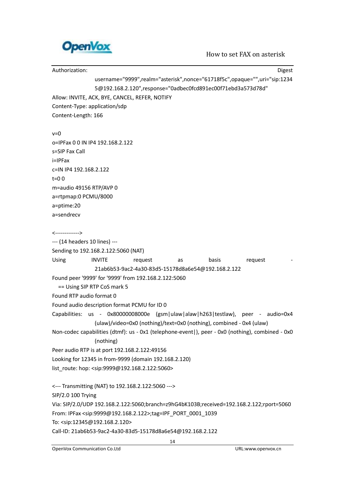

Authorization: Digest and Digest and Digest and Digest and Digest and Digest and Digest and Digest and Digest username="9999",realm="asterisk",nonce="61718f5c",opaque="",uri="sip:1234 5@192.168.2.120",response="0adbec0fcd891ec00f71ebd3a573d78d" Allow: INVITE, ACK, BYE, CANCEL, REFER, NOTIFY Content-Type: application/sdp Content-Length: 166  $v=0$ o=IPFax 0 0 IN IP4 192.168.2.122 s=SIP Fax Call i=IPFax c=IN IP4 192.168.2.122 t=0 0 m=audio 49156 RTP/AVP 0 a=rtpmap:0 PCMU/8000 a=ptime:20 a=sendrecv <-------------> --- (14 headers 10 lines) --- Sending to 192.168.2.122:5060 (NAT) Using INVITE request as basis request -21ab6b53-9ac2-4a30-83d5-15178d8a6e54@192.168.2.122 Found peer '9999' for '9999' from 192.168.2.122:5060 == Using SIP RTP CoS mark 5 Found RTP audio format 0 Found audio description format PCMU for ID 0 Capabilities: us - 0x80000008000e (gsm|ulaw|alaw|h263|testlaw), peer - audio=0x4 (ulaw)/video=0x0 (nothing)/text=0x0 (nothing), combined - 0x4 (ulaw) Non-codec capabilities (dtmf): us - 0x1 (telephone-event|), peer - 0x0 (nothing), combined - 0x0 (nothing) Peer audio RTP is at port 192.168.2.122:49156 Looking for 12345 in from-9999 (domain 192.168.2.120) list\_route: hop: <sip:9999@192.168.2.122:5060> <--- Transmitting (NAT) to 192.168.2.122:5060 ---> SIP/2.0 100 Trying Via: SIP/2.0/UDP 192.168.2.122:5060;branch=z9hG4bK103B;received=192.168.2.122;rport=5060 From: IPFax <sip:9999@192.168.2.122>;tag=IPF\_PORT\_0001\_1039 To: <sip:12345@192.168.2.120> Call-ID: 21ab6b53-9ac2-4a30-83d5-15178d8a6e54@192.168.2.122

14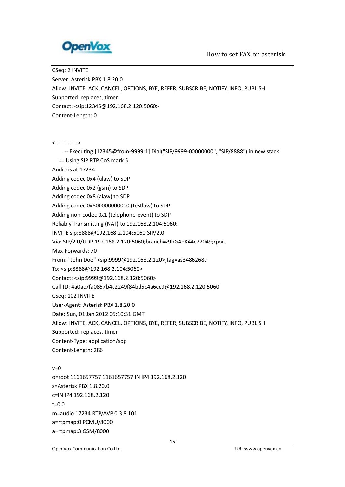

CSeq: 2 INVITE Server: Asterisk PBX 1.8.20.0 Allow: INVITE, ACK, CANCEL, OPTIONS, BYE, REFER, SUBSCRIBE, NOTIFY, INFO, PUBLISH Supported: replaces, timer Contact: <sip:12345@192.168.2.120:5060> Content-Length: 0

<------------>

 -- Executing [12345@from-9999:1] Dial("SIP/9999-00000000", "SIP/8888") in new stack == Using SIP RTP CoS mark 5 Audio is at 17234 Adding codec 0x4 (ulaw) to SDP Adding codec 0x2 (gsm) to SDP Adding codec 0x8 (alaw) to SDP Adding codec 0x800000000000 (testlaw) to SDP Adding non-codec 0x1 (telephone-event) to SDP Reliably Transmitting (NAT) to 192.168.2.104:5060: INVITE sip:8888@192.168.2.104:5060 SIP/2.0 Via: SIP/2.0/UDP 192.168.2.120:5060;branch=z9hG4bK44c72049;rport Max-Forwards: 70 From: "John Doe" <sip:9999@192.168.2.120>;tag=as3486268c To: <sip:8888@192.168.2.104:5060> Contact: <sip:9999@192.168.2.120:5060> Call-ID: 4a0ac7fa0857b4c2249f84bd5c4a6cc9@192.168.2.120:5060 CSeq: 102 INVITE User-Agent: Asterisk PBX 1.8.20.0 Date: Sun, 01 Jan 2012 05:10:31 GMT Allow: INVITE, ACK, CANCEL, OPTIONS, BYE, REFER, SUBSCRIBE, NOTIFY, INFO, PUBLISH Supported: replaces, timer Content-Type: application/sdp Content-Length: 286  $v=0$ o=root 1161657757 1161657757 IN IP4 192.168.2.120 s=Asterisk PBX 1.8.20.0 c=IN IP4 192.168.2.120 t=0 0

m=audio 17234 RTP/AVP 0 3 8 101 a=rtpmap:0 PCMU/8000

a=rtpmap:3 GSM/8000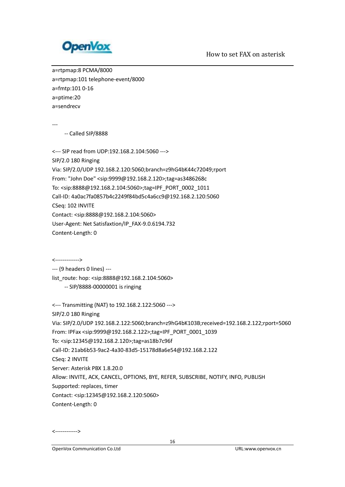

a=rtpmap:8 PCMA/8000 a=rtpmap:101 telephone-event/8000 a=fmtp:101 0-16 a=ptime:20 a=sendrecv

---

-- Called SIP/8888

<--- SIP read from UDP:192.168.2.104:5060 ---> SIP/2.0 180 Ringing Via: SIP/2.0/UDP 192.168.2.120:5060;branch=z9hG4bK44c72049;rport From: "John Doe" <sip:9999@192.168.2.120>;tag=as3486268c To: <sip:8888@192.168.2.104:5060>;tag=IPF\_PORT\_0002\_1011 Call-ID: 4a0ac7fa0857b4c2249f84bd5c4a6cc9@192.168.2.120:5060 CSeq: 102 INVITE Contact: <sip:8888@192.168.2.104:5060> User-Agent: Net Satisfaxtion/IP\_FAX-9.0.6194.732 Content-Length: 0

<------------->

--- (9 headers 0 lines) ---

list\_route: hop: <sip:8888@192.168.2.104:5060>

-- SIP/8888-00000001 is ringing

<--- Transmitting (NAT) to 192.168.2.122:5060 --->

SIP/2.0 180 Ringing

Via: SIP/2.0/UDP 192.168.2.122:5060;branch=z9hG4bK103B;received=192.168.2.122;rport=5060

From: IPFax <sip:9999@192.168.2.122>;tag=IPF\_PORT\_0001\_1039

To: <sip:12345@192.168.2.120>;tag=as18b7c96f

Call-ID: 21ab6b53-9ac2-4a30-83d5-15178d8a6e54@192.168.2.122

CSeq: 2 INVITE

Server: Asterisk PBX 1.8.20.0

Allow: INVITE, ACK, CANCEL, OPTIONS, BYE, REFER, SUBSCRIBE, NOTIFY, INFO, PUBLISH

Supported: replaces, timer

Contact: <sip:12345@192.168.2.120:5060>

Content-Length: 0

<------------>

OpenVox Communication Co.Ltd URL:www.openvox.cn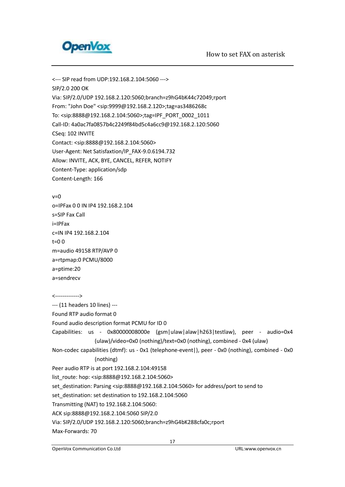

<--- SIP read from UDP:192.168.2.104:5060 ---> SIP/2.0 200 OK Via: SIP/2.0/UDP 192.168.2.120:5060;branch=z9hG4bK44c72049;rport From: "John Doe" <sip:9999@192.168.2.120>;tag=as3486268c To: <sip:8888@192.168.2.104:5060>;tag=IPF\_PORT\_0002\_1011 Call-ID: 4a0ac7fa0857b4c2249f84bd5c4a6cc9@192.168.2.120:5060 CSeq: 102 INVITE Contact: <sip:8888@192.168.2.104:5060> User-Agent: Net Satisfaxtion/IP\_FAX-9.0.6194.732 Allow: INVITE, ACK, BYE, CANCEL, REFER, NOTIFY Content-Type: application/sdp Content-Length: 166

 $v=0$ o=IPFax 0 0 IN IP4 192.168.2.104 s=SIP Fax Call i=IPFax c=IN IP4 192.168.2.104  $t=0$  0 m=audio 49158 RTP/AVP 0 a=rtpmap:0 PCMU/8000 a=ptime:20 a=sendrecv

<------------->

--- (11 headers 10 lines) ---

Found RTP audio format 0

Found audio description format PCMU for ID 0

Capabilities: us - 0x80000008000e (gsm|ulaw|alaw|h263|testlaw), peer - audio=0x4 (ulaw)/video=0x0 (nothing)/text=0x0 (nothing), combined - 0x4 (ulaw)

Non-codec capabilities (dtmf): us - 0x1 (telephone-event|), peer - 0x0 (nothing), combined - 0x0 (nothing)

Peer audio RTP is at port 192.168.2.104:49158

list\_route: hop: <sip:8888@192.168.2.104:5060>

set\_destination: Parsing <sip:8888@192.168.2.104:5060> for address/port to send to

set\_destination: set destination to 192.168.2.104:5060

Transmitting (NAT) to 192.168.2.104:5060:

ACK sip:8888@192.168.2.104:5060 SIP/2.0

```
Via: SIP/2.0/UDP 192.168.2.120:5060;branch=z9hG4bK288cfa0c;rport
```
Max-Forwards: 70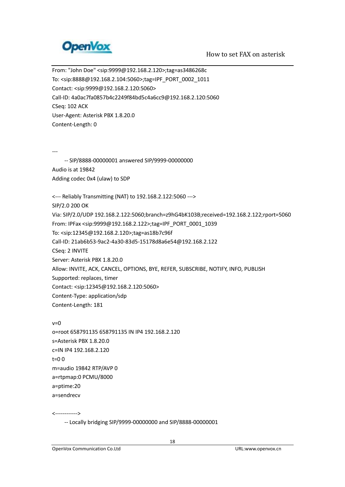

From: "John Doe" <sip:9999@192.168.2.120>;tag=as3486268c To: <sip:8888@192.168.2.104:5060>;tag=IPF\_PORT\_0002\_1011 Contact: <sip:9999@192.168.2.120:5060> Call-ID: 4a0ac7fa0857b4c2249f84bd5c4a6cc9@192.168.2.120:5060 CSeq: 102 ACK User-Agent: Asterisk PBX 1.8.20.0 Content-Length: 0 --- -- SIP/8888-00000001 answered SIP/9999-00000000 Audio is at 19842 Adding codec 0x4 (ulaw) to SDP <--- Reliably Transmitting (NAT) to 192.168.2.122:5060 ---> SIP/2.0 200 OK Via: SIP/2.0/UDP 192.168.2.122:5060;branch=z9hG4bK103B;received=192.168.2.122;rport=5060 From: IPFax <sip:9999@192.168.2.122>;tag=IPF\_PORT\_0001\_1039 To: <sip:12345@192.168.2.120>;tag=as18b7c96f Call-ID: 21ab6b53-9ac2-4a30-83d5-15178d8a6e54@192.168.2.122 CSeq: 2 INVITE Server: Asterisk PBX 1.8.20.0 Allow: INVITE, ACK, CANCEL, OPTIONS, BYE, REFER, SUBSCRIBE, NOTIFY, INFO, PUBLISH Supported: replaces, timer Contact: <sip:12345@192.168.2.120:5060> Content-Type: application/sdp Content-Length: 181  $v=0$ o=root 658791135 658791135 IN IP4 192.168.2.120

s=Asterisk PBX 1.8.20.0 c=IN IP4 192.168.2.120  $t=0.0$ m=audio 19842 RTP/AVP 0 a=rtpmap:0 PCMU/8000 a=ptime:20 a=sendrecv

<------------>

-- Locally bridging SIP/9999-00000000 and SIP/8888-00000001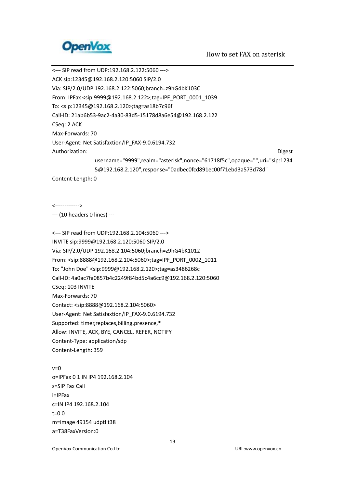

<--- SIP read from UDP:192.168.2.122:5060 ---> ACK sip:12345@192.168.2.120:5060 SIP/2.0 Via: SIP/2.0/UDP 192.168.2.122:5060;branch=z9hG4bK103C From: IPFax <sip:9999@192.168.2.122>;tag=IPF\_PORT\_0001\_1039 To: <sip:12345@192.168.2.120>;tag=as18b7c96f Call-ID: 21ab6b53-9ac2-4a30-83d5-15178d8a6e54@192.168.2.122 CSeq: 2 ACK Max-Forwards: 70 User-Agent: Net Satisfaxtion/IP\_FAX-9.0.6194.732 Authorization: Digest username="9999",realm="asterisk",nonce="61718f5c",opaque="",uri="sip:1234 5@192.168.2.120",response="0adbec0fcd891ec00f71ebd3a573d78d"

Content-Length: 0

<------------->

--- (10 headers 0 lines) ---

<--- SIP read from UDP:192.168.2.104:5060 ---> INVITE sip:9999@192.168.2.120:5060 SIP/2.0 Via: SIP/2.0/UDP 192.168.2.104:5060;branch=z9hG4bK1012 From: <sip:8888@192.168.2.104:5060>;tag=IPF\_PORT\_0002\_1011 To: "John Doe" <sip:9999@192.168.2.120>;tag=as3486268c Call-ID: 4a0ac7fa0857b4c2249f84bd5c4a6cc9@192.168.2.120:5060 CSeq: 103 INVITE Max-Forwards: 70 Contact: <sip:8888@192.168.2.104:5060> User-Agent: Net Satisfaxtion/IP\_FAX-9.0.6194.732 Supported: timer,replaces,billing,presence,\* Allow: INVITE, ACK, BYE, CANCEL, REFER, NOTIFY Content-Type: application/sdp Content-Length: 359

 $v=0$ o=IPFax 0 1 IN IP4 192.168.2.104 s=SIP Fax Call i=IPFax c=IN IP4 192.168.2.104 t=0 0 m=image 49154 udptl t38 a=T38FaxVersion:0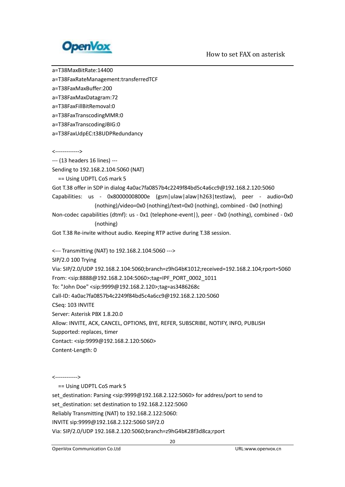

a=T38MaxBitRate:14400

a=T38FaxRateManagement:transferredTCF

a=T38FaxMaxBuffer:200

a=T38FaxMaxDatagram:72

a=T38FaxFillBitRemoval:0

a=T38FaxTranscodingMMR:0

a=T38FaxTranscodingJBIG:0

a=T38FaxUdpEC:t38UDPRedundancy

<------------->

--- (13 headers 16 lines) ---

Sending to 192.168.2.104:5060 (NAT)

== Using UDPTL CoS mark 5

Got T.38 offer in SDP in dialog 4a0ac7fa0857b4c2249f84bd5c4a6cc9@192.168.2.120:5060

Capabilities: us - 0x80000008000e (gsm|ulaw|alaw|h263|testlaw), peer - audio=0x0 (nothing)/video=0x0 (nothing)/text=0x0 (nothing), combined - 0x0 (nothing)

Non-codec capabilities (dtmf): us - 0x1 (telephone-event|), peer - 0x0 (nothing), combined - 0x0 (nothing)

Got T.38 Re-invite without audio. Keeping RTP active during T.38 session.

<--- Transmitting (NAT) to 192.168.2.104:5060 --->

SIP/2.0 100 Trying

Via: SIP/2.0/UDP 192.168.2.104:5060;branch=z9hG4bK1012;received=192.168.2.104;rport=5060 From: <sip:8888@192.168.2.104:5060>;tag=IPF\_PORT\_0002\_1011

To: "John Doe" <sip:9999@192.168.2.120>;tag=as3486268c

Call-ID: 4a0ac7fa0857b4c2249f84bd5c4a6cc9@192.168.2.120:5060

CSeq: 103 INVITE

Server: Asterisk PBX 1.8.20.0

Allow: INVITE, ACK, CANCEL, OPTIONS, BYE, REFER, SUBSCRIBE, NOTIFY, INFO, PUBLISH

Supported: replaces, timer

Contact: <sip:9999@192.168.2.120:5060>

Content-Length: 0

<------------>

== Using UDPTL CoS mark 5

set\_destination: Parsing <sip:9999@192.168.2.122:5060> for address/port to send to

set\_destination: set destination to 192.168.2.122:5060

Reliably Transmitting (NAT) to 192.168.2.122:5060:

INVITE sip:9999@192.168.2.122:5060 SIP/2.0

Via: SIP/2.0/UDP 192.168.2.120:5060;branch=z9hG4bK28f3d8ca;rport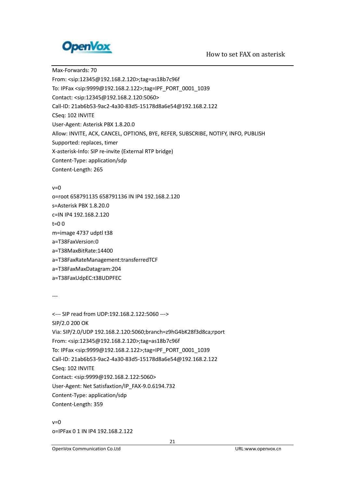

Max-Forwards: 70 From: <sip:12345@192.168.2.120>;tag=as18b7c96f To: IPFax <sip:9999@192.168.2.122>;tag=IPF\_PORT\_0001\_1039 Contact: <sip:12345@192.168.2.120:5060> Call-ID: 21ab6b53-9ac2-4a30-83d5-15178d8a6e54@192.168.2.122 CSeq: 102 INVITE User-Agent: Asterisk PBX 1.8.20.0 Allow: INVITE, ACK, CANCEL, OPTIONS, BYE, REFER, SUBSCRIBE, NOTIFY, INFO, PUBLISH Supported: replaces, timer X-asterisk-Info: SIP re-invite (External RTP bridge) Content-Type: application/sdp Content-Length: 265

#### $v=0$

o=root 658791135 658791136 IN IP4 192.168.2.120 s=Asterisk PBX 1.8.20.0 c=IN IP4 192.168.2.120 t=0 0 m=image 4737 udptl t38 a=T38FaxVersion:0 a=T38MaxBitRate:14400 a=T38FaxRateManagement:transferredTCF a=T38FaxMaxDatagram:204 a=T38FaxUdpEC:t38UDPFEC

---

<--- SIP read from UDP:192.168.2.122:5060 ---> SIP/2.0 200 OK Via: SIP/2.0/UDP 192.168.2.120:5060;branch=z9hG4bK28f3d8ca;rport From: <sip:12345@192.168.2.120>;tag=as18b7c96f To: IPFax <sip:9999@192.168.2.122>;tag=IPF\_PORT\_0001\_1039 Call-ID: 21ab6b53-9ac2-4a30-83d5-15178d8a6e54@192.168.2.122 CSeq: 102 INVITE Contact: <sip:9999@192.168.2.122:5060> User-Agent: Net Satisfaxtion/IP\_FAX-9.0.6194.732 Content-Type: application/sdp Content-Length: 359

 $v=0$ o=IPFax 0 1 IN IP4 192.168.2.122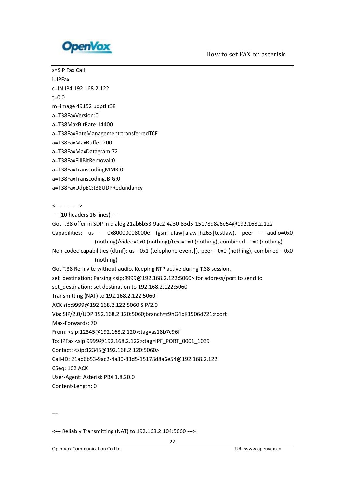

s=SIP Fax Call i=IPFax c=IN IP4 192.168.2.122 t=0 0 m=image 49152 udptl t38 a=T38FaxVersion:0 a=T38MaxBitRate:14400 a=T38FaxRateManagement:transferredTCF a=T38FaxMaxBuffer:200 a=T38FaxMaxDatagram:72 a=T38FaxFillBitRemoval:0 a=T38FaxTranscodingMMR:0 a=T38FaxTranscodingJBIG:0 a=T38FaxUdpEC:t38UDPRedundancy <-------------> --- (10 headers 16 lines) --- Got T.38 offer in SDP in dialog 21ab6b53-9ac2-4a30-83d5-15178d8a6e54@192.168.2.122 Capabilities: us - 0x80000008000e (gsm|ulaw|alaw|h263|testlaw), peer - audio=0x0 (nothing)/video=0x0 (nothing)/text=0x0 (nothing), combined - 0x0 (nothing) Non-codec capabilities (dtmf): us - 0x1 (telephone-event|), peer - 0x0 (nothing), combined - 0x0 (nothing) Got T.38 Re-invite without audio. Keeping RTP active during T.38 session. set destination: Parsing <sip:9999@192.168.2.122:5060> for address/port to send to set destination: set destination to 192.168.2.122:5060 Transmitting (NAT) to 192.168.2.122:5060: ACK sip:9999@192.168.2.122:5060 SIP/2.0 Via: SIP/2.0/UDP 192.168.2.120:5060;branch=z9hG4bK1506d721;rport Max-Forwards: 70 From: <sip:12345@192.168.2.120>;tag=as18b7c96f To: IPFax <sip:9999@192.168.2.122>;tag=IPF\_PORT\_0001\_1039 Contact: <sip:12345@192.168.2.120:5060> Call-ID: 21ab6b53-9ac2-4a30-83d5-15178d8a6e54@192.168.2.122 CSeq: 102 ACK User-Agent: Asterisk PBX 1.8.20.0 Content-Length: 0

---

<--- Reliably Transmitting (NAT) to 192.168.2.104:5060 --->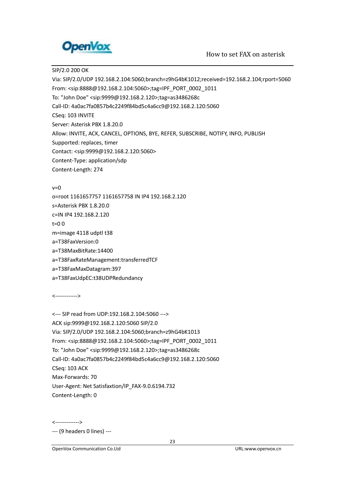

SIP/2.0 200 OK

Via: SIP/2.0/UDP 192.168.2.104:5060;branch=z9hG4bK1012;received=192.168.2.104;rport=5060 From: <sip:8888@192.168.2.104:5060>;tag=IPF\_PORT\_0002\_1011 To: "John Doe" <sip:9999@192.168.2.120>;tag=as3486268c Call-ID: 4a0ac7fa0857b4c2249f84bd5c4a6cc9@192.168.2.120:5060 CSeq: 103 INVITE Server: Asterisk PBX 1.8.20.0 Allow: INVITE, ACK, CANCEL, OPTIONS, BYE, REFER, SUBSCRIBE, NOTIFY, INFO, PUBLISH Supported: replaces, timer Contact: <sip:9999@192.168.2.120:5060> Content-Type: application/sdp Content-Length: 274  $v=0$ 

o=root 1161657757 1161657758 IN IP4 192.168.2.120 s=Asterisk PBX 1.8.20.0 c=IN IP4 192.168.2.120 t=0 0 m=image 4118 udptl t38 a=T38FaxVersion:0 a=T38MaxBitRate:14400 a=T38FaxRateManagement:transferredTCF a=T38FaxMaxDatagram:397 a=T38FaxUdpEC:t38UDPRedundancy

<------------>

<--- SIP read from UDP:192.168.2.104:5060 ---> ACK sip:9999@192.168.2.120:5060 SIP/2.0 Via: SIP/2.0/UDP 192.168.2.104:5060;branch=z9hG4bK1013 From: <sip:8888@192.168.2.104:5060>;tag=IPF\_PORT\_0002\_1011 To: "John Doe" <sip:9999@192.168.2.120>;tag=as3486268c Call-ID: 4a0ac7fa0857b4c2249f84bd5c4a6cc9@192.168.2.120:5060 CSeq: 103 ACK Max-Forwards: 70 User-Agent: Net Satisfaxtion/IP\_FAX-9.0.6194.732 Content-Length: 0

<------------->

--- (9 headers 0 lines) ---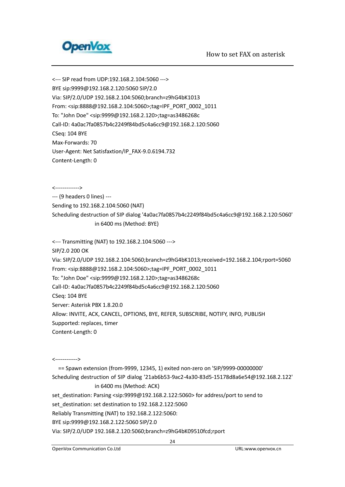

<--- SIP read from UDP:192.168.2.104:5060 ---> BYE sip:9999@192.168.2.120:5060 SIP/2.0 Via: SIP/2.0/UDP 192.168.2.104:5060;branch=z9hG4bK1013 From: <sip:8888@192.168.2.104:5060>;tag=IPF\_PORT\_0002\_1011 To: "John Doe" <sip:9999@192.168.2.120>;tag=as3486268c Call-ID: 4a0ac7fa0857b4c2249f84bd5c4a6cc9@192.168.2.120:5060 CSeq: 104 BYE Max-Forwards: 70 User-Agent: Net Satisfaxtion/IP\_FAX-9.0.6194.732 Content-Length: 0

<------------->

--- (9 headers 0 lines) ---

Sending to 192.168.2.104:5060 (NAT)

Scheduling destruction of SIP dialog '4a0ac7fa0857b4c2249f84bd5c4a6cc9@192.168.2.120:5060' in 6400 ms (Method: BYE)

<--- Transmitting (NAT) to 192.168.2.104:5060 --->

SIP/2.0 200 OK

Via: SIP/2.0/UDP 192.168.2.104:5060;branch=z9hG4bK1013;received=192.168.2.104;rport=5060 From: <sip:8888@192.168.2.104:5060>;tag=IPF\_PORT\_0002\_1011 To: "John Doe" <sip:9999@192.168.2.120>;tag=as3486268c Call-ID: 4a0ac7fa0857b4c2249f84bd5c4a6cc9@192.168.2.120:5060 CSeq: 104 BYE Server: Asterisk PBX 1.8.20.0 Allow: INVITE, ACK, CANCEL, OPTIONS, BYE, REFER, SUBSCRIBE, NOTIFY, INFO, PUBLISH Supported: replaces, timer Content-Length: 0

<------------>

 == Spawn extension (from-9999, 12345, 1) exited non-zero on 'SIP/9999-00000000' Scheduling destruction of SIP dialog '21ab6b53-9ac2-4a30-83d5-15178d8a6e54@192.168.2.122' in 6400 ms (Method: ACK) set\_destination: Parsing <sip:9999@192.168.2.122:5060> for address/port to send to set\_destination: set destination to 192.168.2.122:5060 Reliably Transmitting (NAT) to 192.168.2.122:5060: BYE sip:9999@192.168.2.122:5060 SIP/2.0 Via: SIP/2.0/UDP 192.168.2.120:5060;branch=z9hG4bK09510fcd;rport